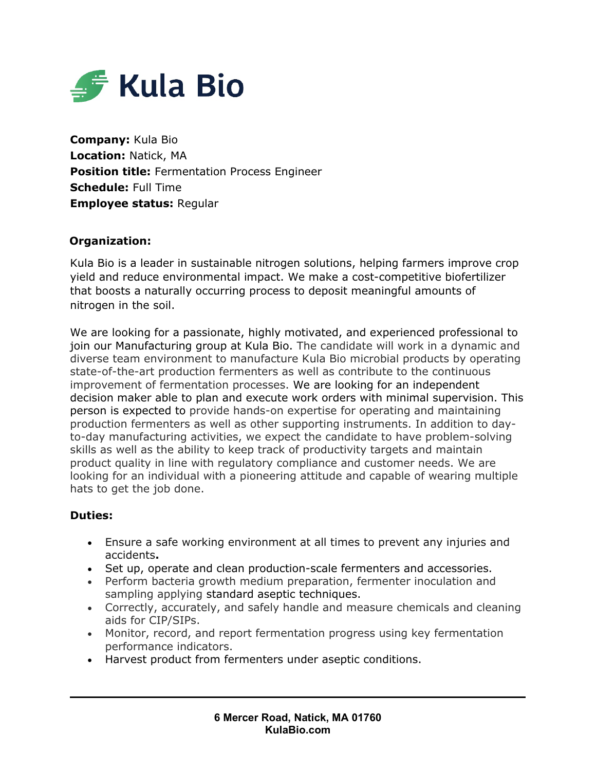

**Company:** Kula Bio **Location:** Natick, MA **Position title:** Fermentation Process Engineer **Schedule:** Full Time **Employee status:** Regular

# **Organization:**

Kula Bio is a leader in sustainable nitrogen solutions, helping farmers improve crop yield and reduce environmental impact. We make a cost-competitive biofertilizer that boosts a naturally occurring process to deposit meaningful amounts of nitrogen in the soil.

We are looking for a passionate, highly motivated, and experienced professional to join our Manufacturing group at Kula Bio. The candidate will work in a dynamic and diverse team environment to manufacture Kula Bio microbial products by operating state-of-the-art production fermenters as well as contribute to the continuous improvement of fermentation processes. We are looking for an independent decision maker able to plan and execute work orders with minimal supervision. This person is expected to provide hands-on expertise for operating and maintaining production fermenters as well as other supporting instruments. In addition to dayto-day manufacturing activities, we expect the candidate to have problem-solving skills as well as the ability to keep track of productivity targets and maintain product quality in line with regulatory compliance and customer needs. We are looking for an individual with a pioneering attitude and capable of wearing multiple hats to get the job done.

## **Duties:**

- Ensure a safe working environment at all times to prevent any injuries and accidents**.**
- Set up, operate and clean production-scale fermenters and accessories.
- Perform bacteria growth medium preparation, fermenter inoculation and sampling applying standard aseptic techniques.
- Correctly, accurately, and safely handle and measure chemicals and cleaning aids for CIP/SIPs.
- Monitor, record, and report fermentation progress using key fermentation performance indicators.
- Harvest product from fermenters under aseptic conditions.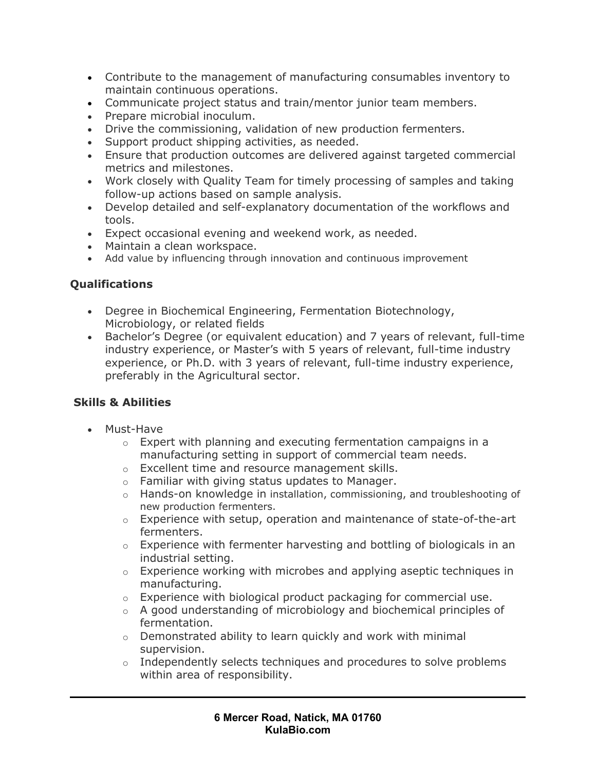- Contribute to the management of manufacturing consumables inventory to maintain continuous operations.
- Communicate project status and train/mentor junior team members.
- Prepare microbial inoculum.
- Drive the commissioning, validation of new production fermenters.
- Support product shipping activities, as needed.
- Ensure that production outcomes are delivered against targeted commercial metrics and milestones.
- Work closely with Quality Team for timely processing of samples and taking follow-up actions based on sample analysis.
- Develop detailed and self-explanatory documentation of the workflows and tools.
- Expect occasional evening and weekend work, as needed.
- Maintain a clean workspace.
- Add value by influencing through innovation and continuous improvement

# **Qualifications**

- Degree in Biochemical Engineering, Fermentation Biotechnology, Microbiology, or related fields
- Bachelor's Degree (or equivalent education) and 7 years of relevant, full-time industry experience, or Master's with 5 years of relevant, full-time industry experience, or Ph.D. with 3 years of relevant, full-time industry experience, preferably in the Agricultural sector.

## **Skills & Abilities**

- Must-Have
	- $\circ$  Expert with planning and executing fermentation campaigns in a manufacturing setting in support of commercial team needs.
	- o Excellent time and resource management skills.
	- $\circ$  Familiar with giving status updates to Manager.
	- o Hands-on knowledge in installation, commissioning, and troubleshooting of new production fermenters.
	- $\circ$  Experience with setup, operation and maintenance of state-of-the-art fermenters.
	- $\circ$  Experience with fermenter harvesting and bottling of biologicals in an industrial setting.
	- $\circ$  Experience working with microbes and applying aseptic techniques in manufacturing.
	- $\circ$  Experience with biological product packaging for commercial use.
	- o A good understanding of microbiology and biochemical principles of fermentation.
	- o Demonstrated ability to learn quickly and work with minimal supervision.
	- $\circ$  Independently selects techniques and procedures to solve problems within area of responsibility.